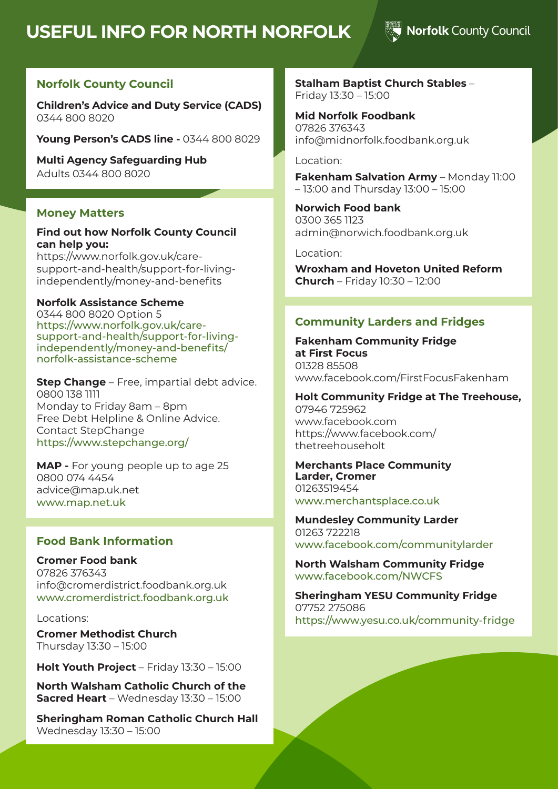# **USEFUL INFO FOR NORTH NORFOLK**

### Norfolk County Council

#### **Norfolk County Council**

**Children's Advice and Duty Service (CADS)**  0344 800 8020

**Young Person's CADS line -** 0344 800 8029

**Multi Agency Safeguarding Hub**  Adults 0344 800 8020

#### **Money Matters**

#### **Find out how Norfolk County Council can help you:**

https://www.norfolk.gov.uk/caresupport-and-health/support-for-livingindependently/money-and-benefits

#### **Norfolk Assistance Scheme**

0344 800 8020 Option 5 https://www.norfolk.gov.uk/caresupport-and-health/support-for-livingindependently/money-and-benefits/ norfolk-assistance-scheme

**Step Change** – Free, impartial debt advice. 0800 138 1111 Monday to Friday 8am – 8pm Free Debt Helpline & Online Advice. Contact StepChange https://www.stepchange.org/

**MAP -** For young people up to age 25 0800 074 4454 advice@map.uk.net www.map.net.uk

#### **Food Bank Information**

**Cromer Food bank** 07826 376343 info@cromerdistrict.foodbank.org.uk www.cromerdistrict.foodbank.org.uk

Locations:

**Cromer Methodist Church**  Thursday 13:30 – 15:00

**Holt Youth Project** – Friday 13:30 – 15:00

**North Walsham Catholic Church of the Sacred Heart** – Wednesday 13:30 – 15:00

**Sheringham Roman Catholic Church Hall** Wednesday 13:30 – 15:00

**Stalham Baptist Church Stables** – Friday 13:30 – 15:00

**Mid Norfolk Foodbank** 07826 376343 info@midnorfolk.foodbank.org.uk

#### Location:

**Fakenham Salvation Army** – Monday 11:00 – 13:00 and Thursday 13:00 – 15:00

**Norwich Food bank** 0300 365 1123 admin@norwich.foodbank.org.uk

Location:

**Wroxham and Hoveton United Reform Church** – Friday 10:30 – 12:00

#### **Community Larders and Fridges**

**Fakenham Community Fridge at First Focus** 01328 85508 www.facebook.com/FirstFocusFakenham

#### **Holt Community Fridge at The Treehouse,** 07946 725962

www.facebook.com https://www.facebook.com/ thetreehouseholt

#### **Merchants Place Community Larder, Cromer** 01263519454 www.merchantsplace.co.uk

**Mundesley Community Larder** 01263 722218 www.facebook.com/communitylarder

**North Walsham Community Fridge** www.facebook.com/NWCFS

**Sheringham YESU Community Fridge**  07752 275086 https://www.yesu.co.uk/community-fridge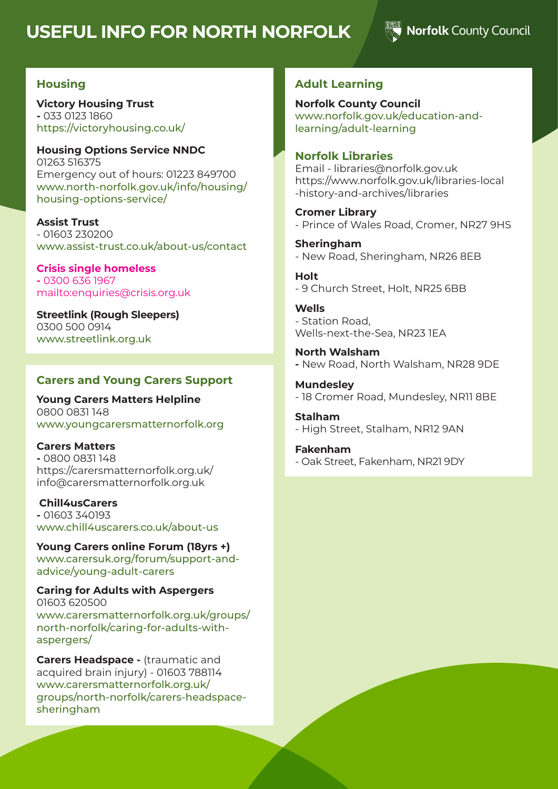# **USEFUL INFO FOR NORTH NORFOLK**

### Norfolk County Council

#### **Housing**

**Victory Housing Trust -** 033 0123 1860 https://victoryhousing.co.uk/

**Housing Options Service NNDC** 01263 516375 Emergency out of hours: 01223 849700 www.north-norfolk.gov.uk/info/housing/ housing-options-service/

**Assist Trust** - 01603 230200 www.assist-trust.co.uk/about-us/contact

**Crisis single homeless -** 0300 636 1967 mailto:enquiries@crisis.org.uk

**Streetlink (Rough Sleepers)**  0300 500 0914 www.streetlink.org.uk

#### **Carers and Young Carers Support**

**Young Carers Matters Helpline** 0800 0831 148 www.youngcarersmatternorfolk.org

**Carers Matters -** 0800 0831 148 https://carersmatternorfolk.org.uk/ info@carersmatternorfolk.org.uk

#### **Chill4usCarers**

**-** 01603 340193 www.chill4uscarers.co.uk/about-us

**Young Carers online Forum (18yrs +)** www.carersuk.org/forum/support-andadvice/young-adult-carers

#### **Caring for Adults with Aspergers** 01603 620500

www.carersmatternorfolk.org.uk/groups/ north-norfolk/caring-for-adults-withaspergers/

**Carers Headspace - (traumatic and** acquired brain injury) - 01603 788114 www.carersmatternorfolk.org.uk/ groups/north-norfolk/carers-headspacesheringham

#### **Adult Learning**

**Norfolk County Council** www.norfolk.gov.uk/education-andlearning/adult-learning

#### **Norfolk Libraries**

Email - libraries@norfolk.gov.uk https://www.norfolk.gov.uk/libraries-local -history-and-archives/libraries

**Cromer Library**  - Prince of Wales Road, Cromer, NR27 9HS

**Sheringham**  - New Road, Sheringham, NR26 8EB

**Holt** - 9 Church Street, Holt, NR25 6BB

**Wells** - Station Road, Wells-next-the-Sea, NR23 1EA

**North Walsham -** New Road, North Walsham, NR28 9DE

**Mundesley** - 18 Cromer Road, Mundesley, NR11 8BE

**Stalham** - High Street, Stalham, NR12 9AN

#### **Fakenham**

- Oak Street, Fakenham, NR21 9DY